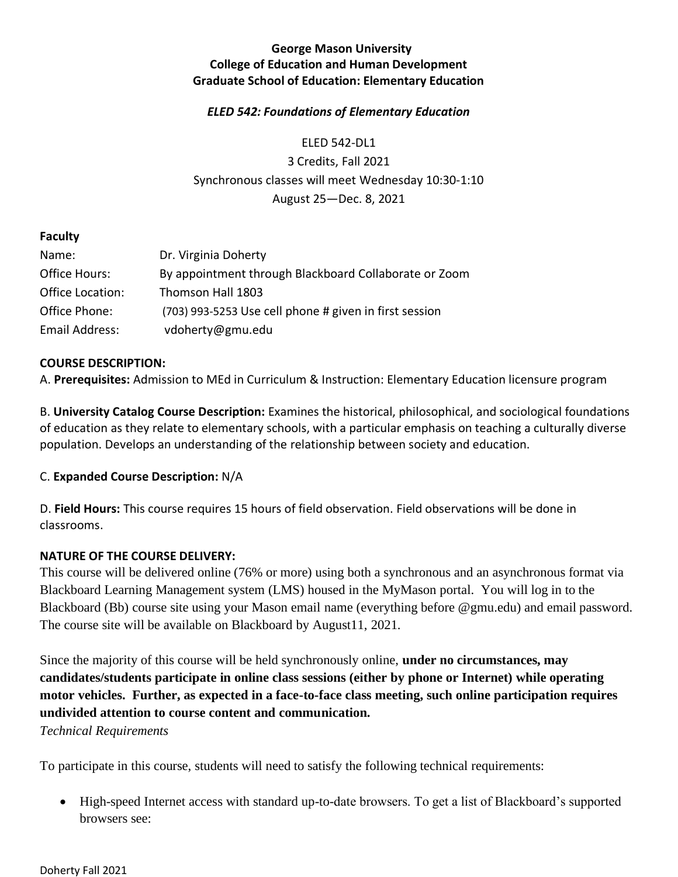## **George Mason University College of Education and Human Development Graduate School of Education: Elementary Education**

### *ELED 542: Foundations of Elementary Education*

ELED 542-DL1

3 Credits, Fall 2021 Synchronous classes will meet Wednesday 10:30-1:10 August 25—Dec. 8, 2021

#### **Faculty**

| Name:            | Dr. Virginia Doherty                                   |
|------------------|--------------------------------------------------------|
| Office Hours:    | By appointment through Blackboard Collaborate or Zoom  |
| Office Location: | Thomson Hall 1803                                      |
| Office Phone:    | (703) 993-5253 Use cell phone # given in first session |
| Email Address:   | vdoherty@gmu.edu                                       |

#### **COURSE DESCRIPTION:**

A. **Prerequisites:** Admission to MEd in Curriculum & Instruction: Elementary Education licensure program

B. **University Catalog Course Description:** Examines the historical, philosophical, and sociological foundations of education as they relate to elementary schools, with a particular emphasis on teaching a culturally diverse population. Develops an understanding of the relationship between society and education.

#### C. **Expanded Course Description:** N/A

D. **Field Hours:** This course requires 15 hours of field observation. Field observations will be done in classrooms.

#### **NATURE OF THE COURSE DELIVERY:**

This course will be delivered online (76% or more) using both a synchronous and an asynchronous format via Blackboard Learning Management system (LMS) housed in the MyMason portal. You will log in to the Blackboard (Bb) course site using your Mason email name (everything before @gmu.edu) and email password. The course site will be available on Blackboard by August11, 2021.

Since the majority of this course will be held synchronously online, **under no circumstances, may candidates/students participate in online class sessions (either by phone or Internet) while operating motor vehicles. Further, as expected in a face-to-face class meeting, such online participation requires undivided attention to course content and communication.**

*Technical Requirements*

To participate in this course, students will need to satisfy the following technical requirements:

• High-speed Internet access with standard up-to-date browsers. To get a list of Blackboard's supported browsers see: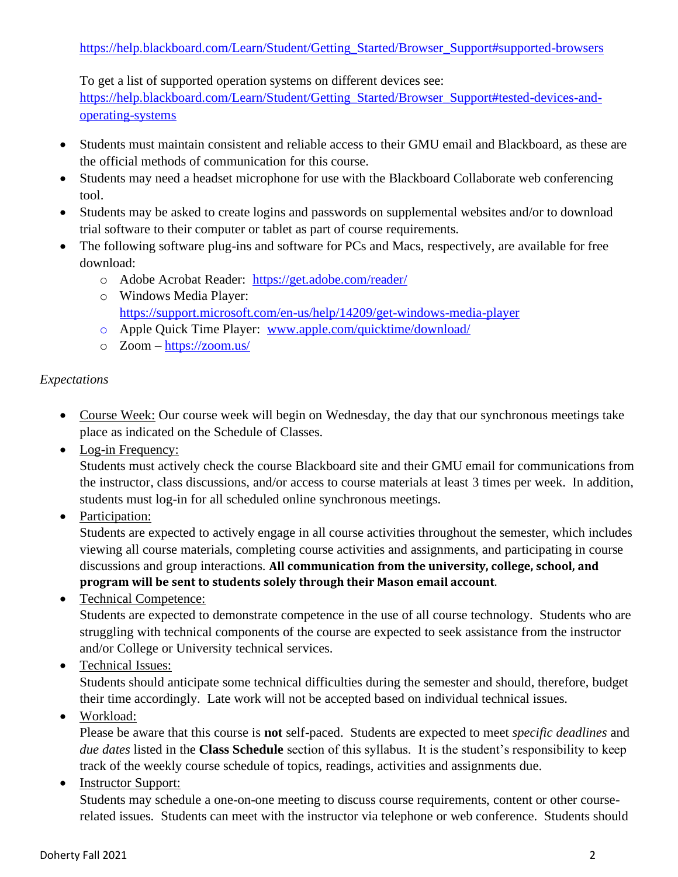[https://help.blackboard.com/Learn/Student/Getting\\_Started/Browser\\_Support#supported-browsers](https://help.blackboard.com/Learn/Student/Getting_Started/Browser_Support#supported-browsers)

To get a list of supported operation systems on different devices see: [https://help.blackboard.com/Learn/Student/Getting\\_Started/Browser\\_Support#tested-devices-and](https://help.blackboard.com/Learn/Student/Getting_Started/Browser_Support#tested-devices-and-operating-systems)[operating-systems](https://help.blackboard.com/Learn/Student/Getting_Started/Browser_Support#tested-devices-and-operating-systems)

- Students must maintain consistent and reliable access to their GMU email and Blackboard, as these are the official methods of communication for this course.
- Students may need a headset microphone for use with the Blackboard Collaborate web conferencing tool.
- Students may be asked to create logins and passwords on supplemental websites and/or to download trial software to their computer or tablet as part of course requirements.
- The following software plug-ins and software for PCs and Macs, respectively, are available for free download:
	- o Adobe Acrobat Reader: <https://get.adobe.com/reader/>
	- o Windows Media Player: <https://support.microsoft.com/en-us/help/14209/get-windows-media-player>
	- o Apple Quick Time Player: [www.apple.com/quicktime/download/](http://www.apple.com/quicktime/download/)
	- o Zoom <https://zoom.us/>

# *Expectations*

- Course Week: Our course week will begin on Wednesday, the day that our synchronous meetings take place as indicated on the Schedule of Classes.
- Log-in Frequency:

Students must actively check the course Blackboard site and their GMU email for communications from the instructor, class discussions, and/or access to course materials at least 3 times per week. In addition, students must log-in for all scheduled online synchronous meetings.

• Participation:

Students are expected to actively engage in all course activities throughout the semester, which includes viewing all course materials, completing course activities and assignments, and participating in course discussions and group interactions. **All communication from the university, college, school, and program will be sent to students solely through their Mason email account**.

• Technical Competence:

Students are expected to demonstrate competence in the use of all course technology. Students who are struggling with technical components of the course are expected to seek assistance from the instructor and/or College or University technical services.

• Technical Issues:

Students should anticipate some technical difficulties during the semester and should, therefore, budget their time accordingly. Late work will not be accepted based on individual technical issues.

• Workload:

Please be aware that this course is **not** self-paced. Students are expected to meet *specific deadlines* and *due dates* listed in the **Class Schedule** section of this syllabus. It is the student's responsibility to keep track of the weekly course schedule of topics, readings, activities and assignments due.

• Instructor Support:

Students may schedule a one-on-one meeting to discuss course requirements, content or other courserelated issues. Students can meet with the instructor via telephone or web conference. Students should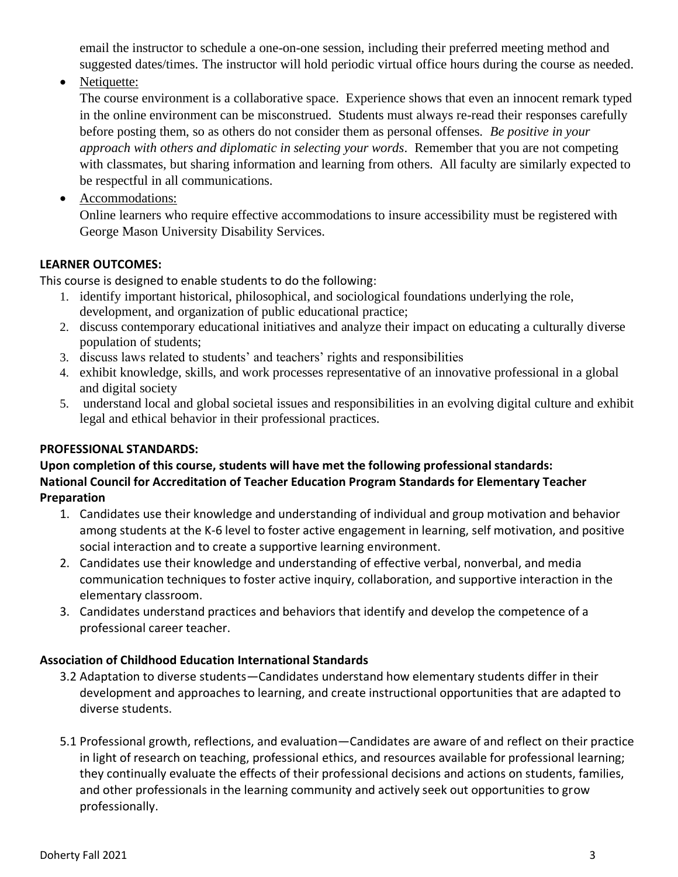email the instructor to schedule a one-on-one session, including their preferred meeting method and suggested dates/times. The instructor will hold periodic virtual office hours during the course as needed.

• Netiquette:

The course environment is a collaborative space. Experience shows that even an innocent remark typed in the online environment can be misconstrued. Students must always re-read their responses carefully before posting them, so as others do not consider them as personal offenses. *Be positive in your approach with others and diplomatic in selecting your words*. Remember that you are not competing with classmates, but sharing information and learning from others. All faculty are similarly expected to be respectful in all communications.

• Accommodations:

Online learners who require effective accommodations to insure accessibility must be registered with George Mason University Disability Services.

## **LEARNER OUTCOMES:**

This course is designed to enable students to do the following:

- 1. identify important historical, philosophical, and sociological foundations underlying the role, development, and organization of public educational practice;
- 2. discuss contemporary educational initiatives and analyze their impact on educating a culturally diverse population of students;
- 3. discuss laws related to students' and teachers' rights and responsibilities
- 4. exhibit knowledge, skills, and work processes representative of an innovative professional in a global and digital society
- 5. understand local and global societal issues and responsibilities in an evolving digital culture and exhibit legal and ethical behavior in their professional practices.

## **PROFESSIONAL STANDARDS:**

## **Upon completion of this course, students will have met the following professional standards: National Council for Accreditation of Teacher Education Program Standards for Elementary Teacher Preparation**

- 1. Candidates use their knowledge and understanding of individual and group motivation and behavior among students at the K-6 level to foster active engagement in learning, self motivation, and positive social interaction and to create a supportive learning environment.
- 2. Candidates use their knowledge and understanding of effective verbal, nonverbal, and media communication techniques to foster active inquiry, collaboration, and supportive interaction in the elementary classroom.
- 3. Candidates understand practices and behaviors that identify and develop the competence of a professional career teacher.

# **Association of Childhood Education International Standards**

- 3.2 Adaptation to diverse students—Candidates understand how elementary students differ in their development and approaches to learning, and create instructional opportunities that are adapted to diverse students.
- 5.1 Professional growth, reflections, and evaluation—Candidates are aware of and reflect on their practice in light of research on teaching, professional ethics, and resources available for professional learning; they continually evaluate the effects of their professional decisions and actions on students, families, and other professionals in the learning community and actively seek out opportunities to grow professionally.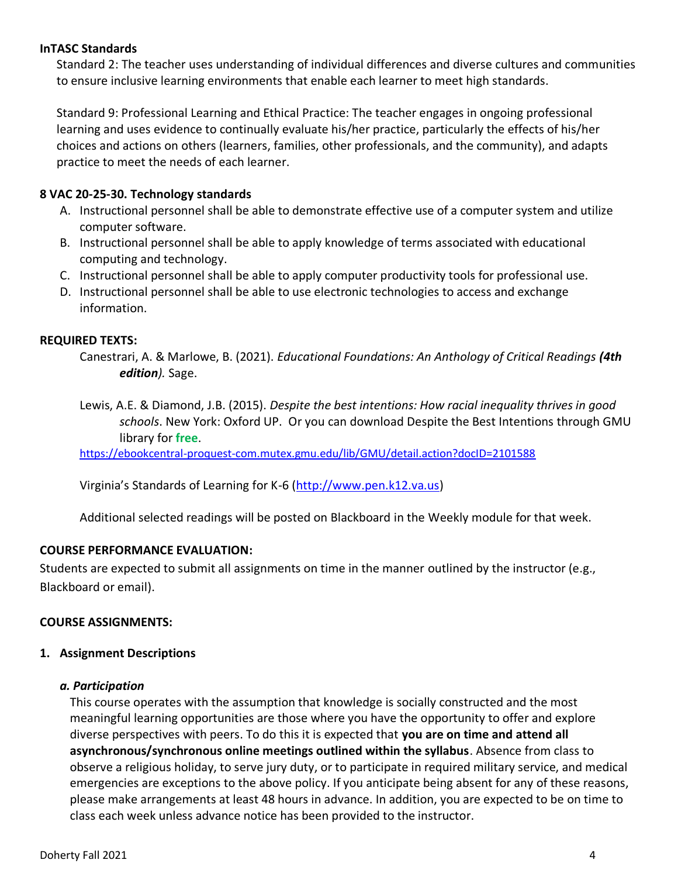#### **InTASC Standards**

Standard 2: The teacher uses understanding of individual differences and diverse cultures and communities to ensure inclusive learning environments that enable each learner to meet high standards.

Standard 9: Professional Learning and Ethical Practice: The teacher engages in ongoing professional learning and uses evidence to continually evaluate his/her practice, particularly the effects of his/her choices and actions on others (learners, families, other professionals, and the community), and adapts practice to meet the needs of each learner.

### **8 VAC 20-25-30. Technology standards**

- A. Instructional personnel shall be able to demonstrate effective use of a computer system and utilize computer software.
- B. Instructional personnel shall be able to apply knowledge of terms associated with educational computing and technology.
- C. Instructional personnel shall be able to apply computer productivity tools for professional use.
- D. Instructional personnel shall be able to use electronic technologies to access and exchange information.

### **REQUIRED TEXTS:**

- Canestrari, A. & Marlowe, B. (2021). *Educational Foundations: An Anthology of Critical Readings (4th edition).* Sage.
- Lewis, A.E. & Diamond, J.B. (2015). *Despite the best intentions: How racial inequality thrives in good schools*. New York: Oxford UP. Or you can download Despite the Best Intentions through GMU library for **free**.

<https://ebookcentral-proquest-com.mutex.gmu.edu/lib/GMU/detail.action?docID=2101588>

Virginia's Standards of Learning for K-6 [\(http://www.pen.k12.va.us\)](http://www.pen.k12.va.us/)

Additional selected readings will be posted on Blackboard in the Weekly module for that week.

#### **COURSE PERFORMANCE EVALUATION:**

Students are expected to submit all assignments on time in the manner outlined by the instructor (e.g., Blackboard or email).

#### **COURSE ASSIGNMENTS:**

#### **1. Assignment Descriptions**

#### *a. Participation*

This course operates with the assumption that knowledge is socially constructed and the most meaningful learning opportunities are those where you have the opportunity to offer and explore diverse perspectives with peers. To do this it is expected that **you are on time and attend all asynchronous/synchronous online meetings outlined within the syllabus**. Absence from class to observe a religious holiday, to serve jury duty, or to participate in required military service, and medical emergencies are exceptions to the above policy. If you anticipate being absent for any of these reasons, please make arrangements at least 48 hours in advance. In addition, you are expected to be on time to class each week unless advance notice has been provided to the instructor.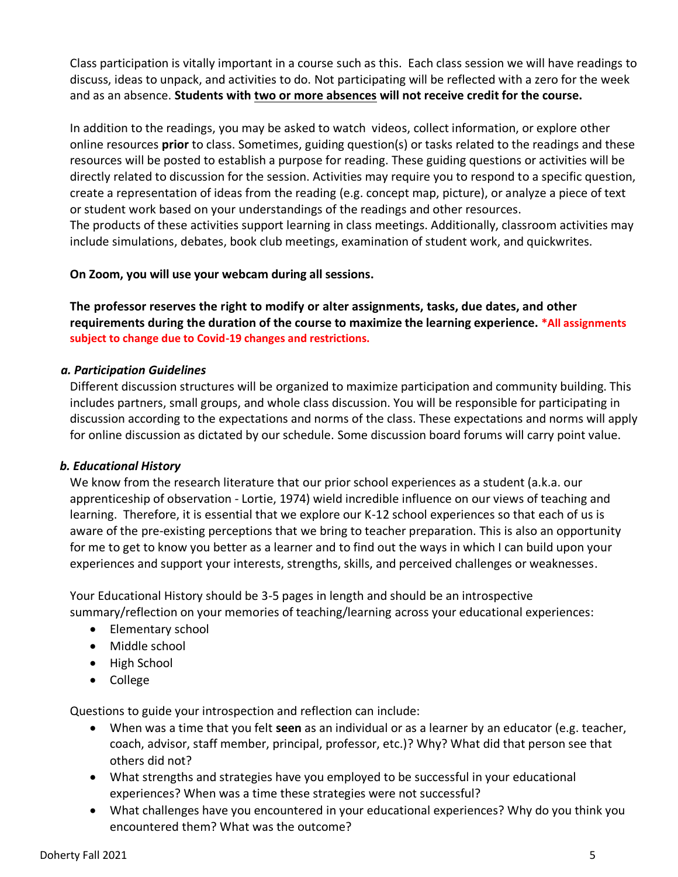Class participation is vitally important in a course such as this. Each class session we will have readings to discuss, ideas to unpack, and activities to do. Not participating will be reflected with a zero for the week and as an absence. **Students with two or more absences will not receive credit for the course.** 

In addition to the readings, you may be asked to watch videos, collect information, or explore other online resources **prior** to class. Sometimes, guiding question(s) or tasks related to the readings and these resources will be posted to establish a purpose for reading. These guiding questions or activities will be directly related to discussion for the session. Activities may require you to respond to a specific question, create a representation of ideas from the reading (e.g. concept map, picture), or analyze a piece of text or student work based on your understandings of the readings and other resources.

The products of these activities support learning in class meetings. Additionally, classroom activities may include simulations, debates, book club meetings, examination of student work, and quickwrites.

**On Zoom, you will use your webcam during all sessions.**

**The professor reserves the right to modify or alter assignments, tasks, due dates, and other requirements during the duration of the course to maximize the learning experience. \*All assignments subject to change due to Covid-19 changes and restrictions.**

### *a. Participation Guidelines*

Different discussion structures will be organized to maximize participation and community building. This includes partners, small groups, and whole class discussion. You will be responsible for participating in discussion according to the expectations and norms of the class. These expectations and norms will apply for online discussion as dictated by our schedule. Some discussion board forums will carry point value.

## *b. Educational History*

We know from the research literature that our prior school experiences as a student (a.k.a. our apprenticeship of observation - Lortie, 1974) wield incredible influence on our views of teaching and learning. Therefore, it is essential that we explore our K-12 school experiences so that each of us is aware of the pre-existing perceptions that we bring to teacher preparation. This is also an opportunity for me to get to know you better as a learner and to find out the ways in which I can build upon your experiences and support your interests, strengths, skills, and perceived challenges or weaknesses.

Your Educational History should be 3-5 pages in length and should be an introspective summary/reflection on your memories of teaching/learning across your educational experiences:

- Elementary school
- Middle school
- High School
- College

Questions to guide your introspection and reflection can include:

- When was a time that you felt **seen** as an individual or as a learner by an educator (e.g. teacher, coach, advisor, staff member, principal, professor, etc.)? Why? What did that person see that others did not?
- What strengths and strategies have you employed to be successful in your educational experiences? When was a time these strategies were not successful?
- What challenges have you encountered in your educational experiences? Why do you think you encountered them? What was the outcome?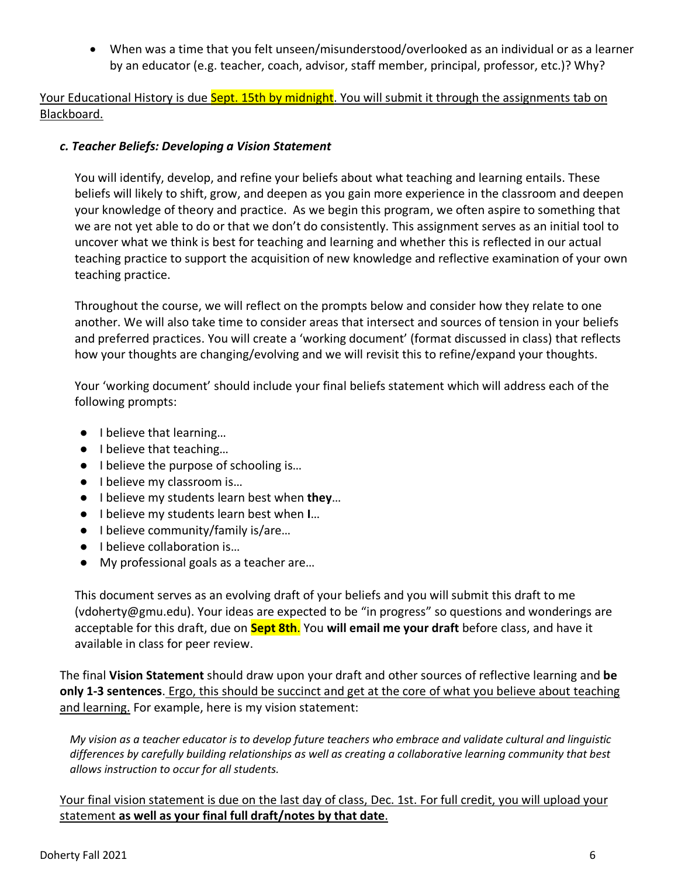• When was a time that you felt unseen/misunderstood/overlooked as an individual or as a learner by an educator (e.g. teacher, coach, advisor, staff member, principal, professor, etc.)? Why?

Your Educational History is due Sept. 15th by midnight. You will submit it through the assignments tab on Blackboard.

## *c. Teacher Beliefs: Developing a Vision Statement*

You will identify, develop, and refine your beliefs about what teaching and learning entails. These beliefs will likely to shift, grow, and deepen as you gain more experience in the classroom and deepen your knowledge of theory and practice. As we begin this program, we often aspire to something that we are not yet able to do or that we don't do consistently. This assignment serves as an initial tool to uncover what we think is best for teaching and learning and whether this is reflected in our actual teaching practice to support the acquisition of new knowledge and reflective examination of your own teaching practice.

Throughout the course, we will reflect on the prompts below and consider how they relate to one another. We will also take time to consider areas that intersect and sources of tension in your beliefs and preferred practices. You will create a 'working document' (format discussed in class) that reflects how your thoughts are changing/evolving and we will revisit this to refine/expand your thoughts.

Your 'working document' should include your final beliefs statement which will address each of the following prompts:

- I believe that learning...
- I believe that teaching...
- I believe the purpose of schooling is...
- I believe my classroom is...
- I believe my students learn best when **they**…
- I believe my students learn best when **I**…
- I believe community/family is/are...
- I believe collaboration is...
- My professional goals as a teacher are…

This document serves as an evolving draft of your beliefs and you will submit this draft to me (vdoherty@gmu.edu). Your ideas are expected to be "in progress" so questions and wonderings are acceptable for this draft, due on **Sept 8th**. You **will email me your draft** before class, and have it available in class for peer review.

The final **Vision Statement** should draw upon your draft and other sources of reflective learning and **be only 1-3 sentences**. Ergo, this should be succinct and get at the core of what you believe about teaching and learning. For example, here is my vision statement:

*My vision as a teacher educator is to develop future teachers who embrace and validate cultural and linguistic differences by carefully building relationships as well as creating a collaborative learning community that best allows instruction to occur for all students.* 

Your final vision statement is due on the last day of class, Dec. 1st. For full credit, you will upload your statement **as well as your final full draft/notes by that date**.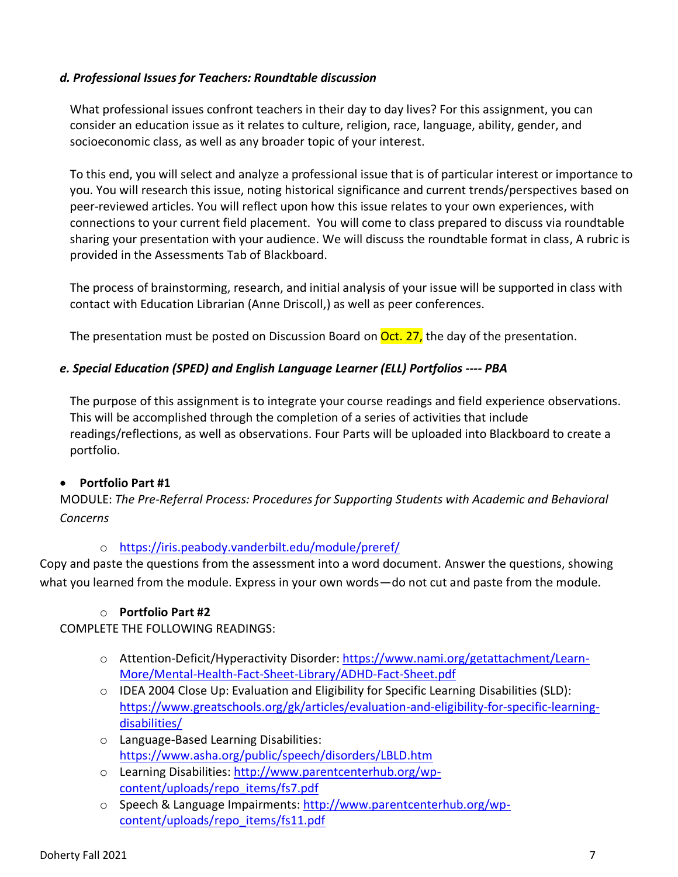### *d. Professional Issues for Teachers: Roundtable discussion*

What professional issues confront teachers in their day to day lives? For this assignment, you can consider an education issue as it relates to culture, religion, race, language, ability, gender, and socioeconomic class, as well as any broader topic of your interest.

To this end, you will select and analyze a professional issue that is of particular interest or importance to you. You will research this issue, noting historical significance and current trends/perspectives based on peer-reviewed articles. You will reflect upon how this issue relates to your own experiences, with connections to your current field placement. You will come to class prepared to discuss via roundtable sharing your presentation with your audience. We will discuss the roundtable format in class, A rubric is provided in the Assessments Tab of Blackboard.

The process of brainstorming, research, and initial analysis of your issue will be supported in class with contact with Education Librarian (Anne Driscoll,) as well as peer conferences.

The presentation must be posted on Discussion Board on  $Oct. 27$ , the day of the presentation.

## *e. Special Education (SPED) and English Language Learner (ELL) Portfolios ---- PBA*

The purpose of this assignment is to integrate your course readings and field experience observations. This will be accomplished through the completion of a series of activities that include readings/reflections, as well as observations. Four Parts will be uploaded into Blackboard to create a portfolio.

## • **Portfolio Part #1**

MODULE: *The Pre-Referral Process: Procedures for Supporting Students with Academic and Behavioral Concerns*

## o <https://iris.peabody.vanderbilt.edu/module/preref/>

Copy and paste the questions from the assessment into a word document. Answer the questions, showing what you learned from the module. Express in your own words—do not cut and paste from the module.

## o **Portfolio Part #2**

COMPLETE THE FOLLOWING READINGS:

- o Attention-Deficit/Hyperactivity Disorder: [https://www.nami.org/getattachment/Learn-](https://www.nami.org/getattachment/Learn-More/Mental-Health-Fact-Sheet-Library/ADHD-Fact-Sheet.pdf)[More/Mental-Health-Fact-Sheet-Library/ADHD-Fact-Sheet.pdf](https://www.nami.org/getattachment/Learn-More/Mental-Health-Fact-Sheet-Library/ADHD-Fact-Sheet.pdf)
- o IDEA 2004 Close Up: Evaluation and Eligibility for Specific Learning Disabilities (SLD): [https://www.greatschools.org/gk/articles/evaluation-and-eligibility-for-specific-learning](https://www.greatschools.org/gk/articles/evaluation-and-eligibility-for-specific-learning-disabilities/)[disabilities/](https://www.greatschools.org/gk/articles/evaluation-and-eligibility-for-specific-learning-disabilities/)
- o Language-Based Learning Disabilities: <https://www.asha.org/public/speech/disorders/LBLD.htm>
- o Learning Disabilities: [http://www.parentcenterhub.org/wp](http://www.parentcenterhub.org/wp-content/uploads/repo_items/fs7.pdf)[content/uploads/repo\\_items/fs7.pdf](http://www.parentcenterhub.org/wp-content/uploads/repo_items/fs7.pdf)
- o Speech & Language Impairments: [http://www.parentcenterhub.org/wp](http://www.parentcenterhub.org/wp-content/uploads/repo_items/fs11.pdf)[content/uploads/repo\\_items/fs11.pdf](http://www.parentcenterhub.org/wp-content/uploads/repo_items/fs11.pdf)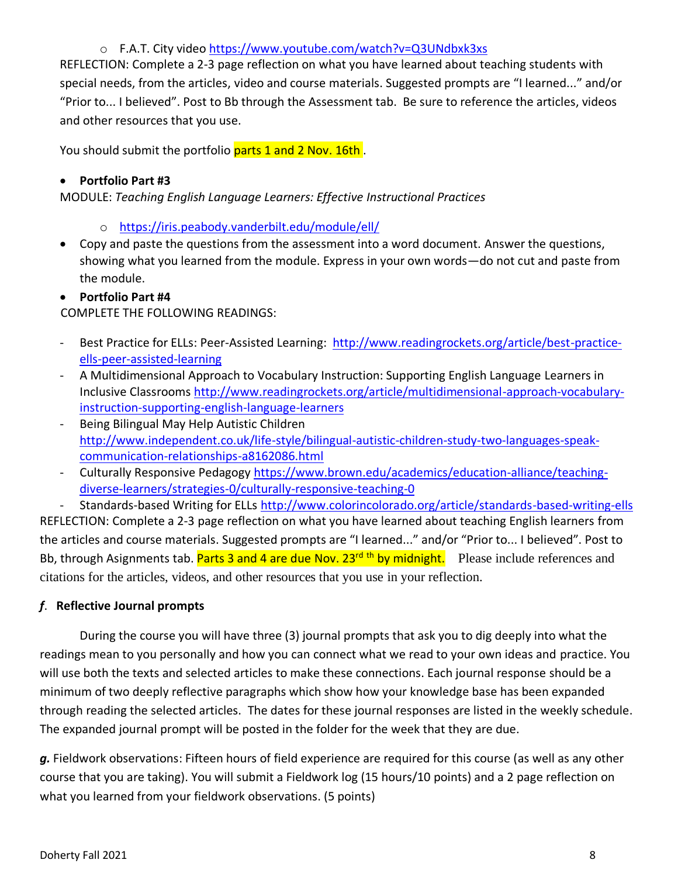## o F.A.T. City video<https://www.youtube.com/watch?v=Q3UNdbxk3xs>

REFLECTION: Complete a 2-3 page reflection on what you have learned about teaching students with special needs, from the articles, video and course materials. Suggested prompts are "I learned..." and/or "Prior to... I believed". Post to Bb through the Assessment tab. Be sure to reference the articles, videos and other resources that you use.

You should submit the portfolio parts 1 and 2 Nov. 16th.

## • **Portfolio Part #3**

MODULE: *Teaching English Language Learners: Effective Instructional Practices*

- o <https://iris.peabody.vanderbilt.edu/module/ell/>
- Copy and paste the questions from the assessment into a word document. Answer the questions, showing what you learned from the module. Express in your own words—do not cut and paste from the module.

# • **Portfolio Part #4**

COMPLETE THE FOLLOWING READINGS:

- Best Practice for ELLs: Peer-Assisted Learning: [http://www.readingrockets.org/article/best-practice](http://www.readingrockets.org/article/best-practice-ells-peer-assisted-learning)[ells-peer-assisted-learning](http://www.readingrockets.org/article/best-practice-ells-peer-assisted-learning)
- A Multidimensional Approach to Vocabulary Instruction: Supporting English Language Learners in Inclusive Classrooms [http://www.readingrockets.org/article/multidimensional-approach-vocabulary](http://www.readingrockets.org/article/multidimensional-approach-vocabulary-instruction-supporting-english-language-learners)[instruction-supporting-english-language-learners](http://www.readingrockets.org/article/multidimensional-approach-vocabulary-instruction-supporting-english-language-learners)
- Being Bilingual May Help Autistic Children http://www.independent.co.uk/life-style/bilingual-autistic-children-study-two-languages-speakcommunication-relationships-a8162086.html
- Culturally Responsive Pedagogy [https://www.brown.edu/academics/education-alliance/teaching](https://www.brown.edu/academics/education-alliance/teaching-diverse-learners/strategies-0/culturally-responsive-teaching-0)[diverse-learners/strategies-0/culturally-responsive-teaching-0](https://www.brown.edu/academics/education-alliance/teaching-diverse-learners/strategies-0/culturally-responsive-teaching-0)

- Standards-based Writing for ELLs<http://www.colorincolorado.org/article/standards-based-writing-ells> REFLECTION: Complete a 2-3 page reflection on what you have learned about teaching English learners from the articles and course materials. Suggested prompts are "I learned..." and/or "Prior to... I believed". Post to Bb, through Asignments tab. Parts 3 and 4 are due Nov. 23<sup>rd th</sup> by midnight. Please include references and citations for the articles, videos, and other resources that you use in your reflection.

# *f*. **Reflective Journal prompts**

During the course you will have three (3) journal prompts that ask you to dig deeply into what the readings mean to you personally and how you can connect what we read to your own ideas and practice. You will use both the texts and selected articles to make these connections. Each journal response should be a minimum of two deeply reflective paragraphs which show how your knowledge base has been expanded through reading the selected articles. The dates for these journal responses are listed in the weekly schedule. The expanded journal prompt will be posted in the folder for the week that they are due.

*g.* Fieldwork observations: Fifteen hours of field experience are required for this course (as well as any other course that you are taking). You will submit a Fieldwork log (15 hours/10 points) and a 2 page reflection on what you learned from your fieldwork observations. (5 points)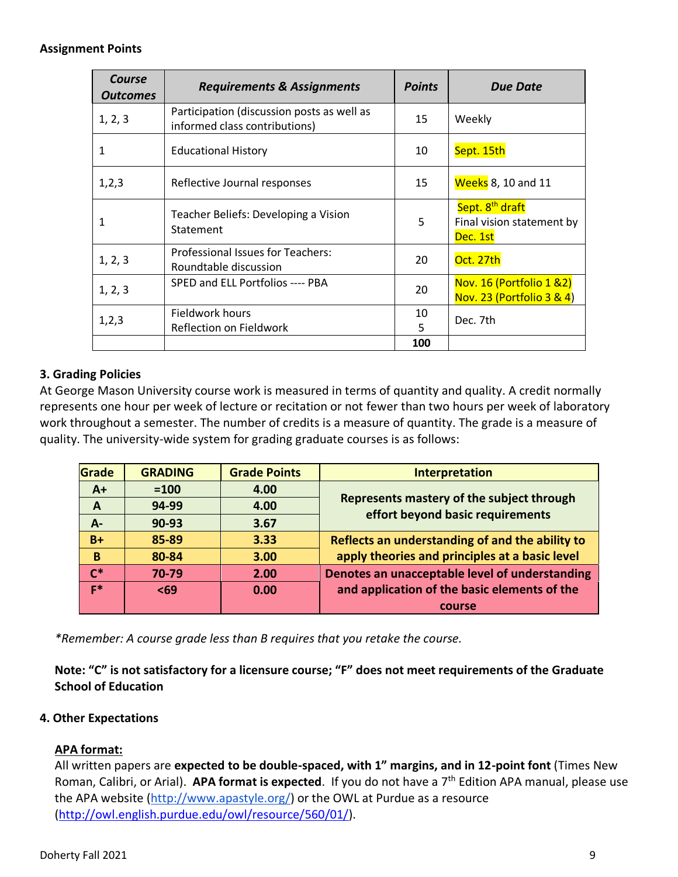### **Assignment Points**

| Course<br><b>Outcomes</b> | <b>Requirements &amp; Assignments</b>                                       | <b>Points</b> | Due Date                                                             |
|---------------------------|-----------------------------------------------------------------------------|---------------|----------------------------------------------------------------------|
| 1, 2, 3                   | Participation (discussion posts as well as<br>informed class contributions) | 15            | Weekly                                                               |
| 1                         | <b>Educational History</b>                                                  | 10            | Sept. 15th                                                           |
| 1, 2, 3                   | Reflective Journal responses                                                | 15            | <b>Weeks</b> 8, 10 and 11                                            |
| 1                         | Teacher Beliefs: Developing a Vision<br>Statement                           | 5             | Sept. 8 <sup>th</sup> draft<br>Final vision statement by<br>Dec. 1st |
| 1, 2, 3                   | Professional Issues for Teachers:<br>Roundtable discussion                  | 20            | Oct. 27th                                                            |
| 1, 2, 3                   | SPED and ELL Portfolios ---- PBA                                            | 20            | Nov. 16 (Portfolio 1 &2)<br>Nov. 23 (Portfolio 3 & 4)                |
| 1, 2, 3                   | Fieldwork hours<br>Reflection on Fieldwork                                  | 10<br>5       | Dec. 7th                                                             |
|                           |                                                                             | 100           |                                                                      |

## **3. Grading Policies**

At George Mason University course work is measured in terms of quantity and quality. A credit normally represents one hour per week of lecture or recitation or not fewer than two hours per week of laboratory work throughout a semester. The number of credits is a measure of quantity. The grade is a measure of quality. The university-wide system for grading graduate courses is as follows:

| Grade        | <b>GRADING</b> | <b>Grade Points</b> | <b>Interpretation</b>                           |
|--------------|----------------|---------------------|-------------------------------------------------|
| $A+$         | $=100$         | 4.00                |                                                 |
| $\mathbf{A}$ | 94-99          | 4.00                | Represents mastery of the subject through       |
| $A -$        | 90-93          | 3.67                | effort beyond basic requirements                |
| $B+$         | 85-89          | 3.33                | Reflects an understanding of and the ability to |
| B            | 80-84          | 3.00                | apply theories and principles at a basic level  |
| $C^*$        | 70-79          | 2.00                | Denotes an unacceptable level of understanding  |
| $F^*$        | $69$           | 0.00                | and application of the basic elements of the    |
|              |                |                     | course                                          |

*\*Remember: A course grade less than B requires that you retake the course.*

**Note: "C" is not satisfactory for a licensure course; "F" does not meet requirements of the Graduate School of Education**

#### **4. Other Expectations**

#### **APA format:**

All written papers are **expected to be double-spaced, with 1" margins, and in 12-point font** (Times New Roman, Calibri, or Arial). APA format is expected. If you do not have a 7<sup>th</sup> Edition APA manual, please use the APA website [\(http://www.apastyle.org/\)](http://www.apastyle.org/) or the OWL at Purdue as a resource [\(http://owl.english.purdue.edu/owl/resource/560/01/\)](http://owl.english.purdue.edu/owl/resource/560/01/).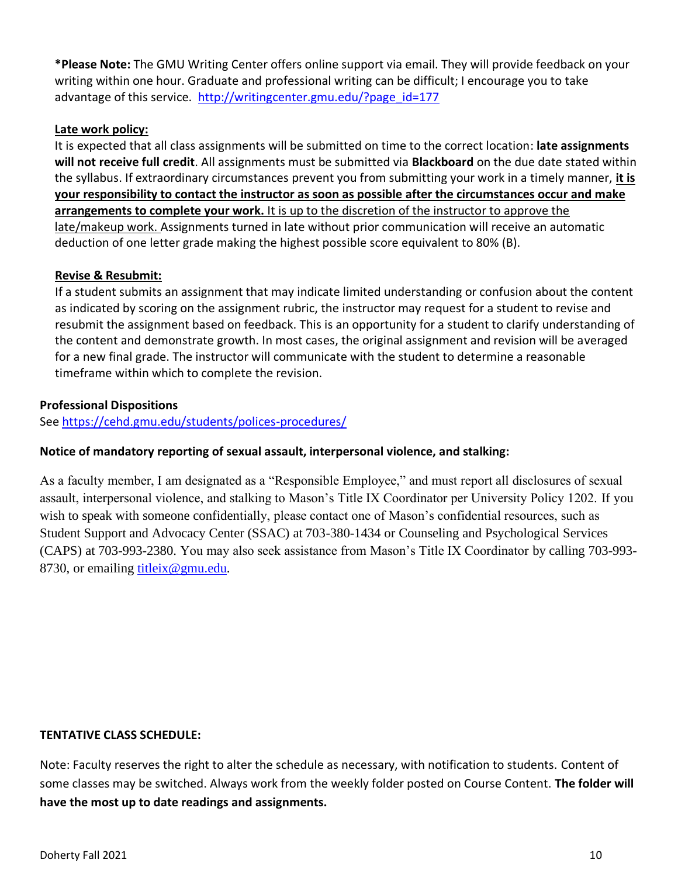**\*Please Note:** The GMU Writing Center offers online support via email. They will provide feedback on your writing within one hour. Graduate and professional writing can be difficult; I encourage you to take advantage of this service. [http://writingcenter.gmu.edu/?page\\_id=177](http://writingcenter.gmu.edu/?page_id=177)

### **Late work policy:**

It is expected that all class assignments will be submitted on time to the correct location: **late assignments will not receive full credit**. All assignments must be submitted via **Blackboard** on the due date stated within the syllabus. If extraordinary circumstances prevent you from submitting your work in a timely manner, **it is your responsibility to contact the instructor as soon as possible after the circumstances occur and make arrangements to complete your work.** It is up to the discretion of the instructor to approve the late/makeup work. Assignments turned in late without prior communication will receive an automatic deduction of one letter grade making the highest possible score equivalent to 80% (B).

### **Revise & Resubmit:**

If a student submits an assignment that may indicate limited understanding or confusion about the content as indicated by scoring on the assignment rubric, the instructor may request for a student to revise and resubmit the assignment based on feedback. This is an opportunity for a student to clarify understanding of the content and demonstrate growth. In most cases, the original assignment and revision will be averaged for a new final grade. The instructor will communicate with the student to determine a reasonable timeframe within which to complete the revision.

### **Professional Dispositions**

See<https://cehd.gmu.edu/students/polices-procedures/>

## **Notice of mandatory reporting of sexual assault, interpersonal violence, and stalking:**

As a faculty member, I am designated as a "Responsible Employee," and must report all disclosures of sexual assault, interpersonal violence, and stalking to Mason's Title IX Coordinator per University Policy 1202. If you wish to speak with someone confidentially, please contact one of Mason's confidential resources, such as Student Support and Advocacy Center (SSAC) at 703-380-1434 or Counseling and Psychological Services (CAPS) at 703-993-2380. You may also seek assistance from Mason's Title IX Coordinator by calling 703-993- 8730, or emailing [titleix@gmu.edu.](mailto:titleix@gmu.edu)

#### **TENTATIVE CLASS SCHEDULE:**

Note: Faculty reserves the right to alter the schedule as necessary, with notification to students. Content of some classes may be switched. Always work from the weekly folder posted on Course Content. **The folder will have the most up to date readings and assignments.**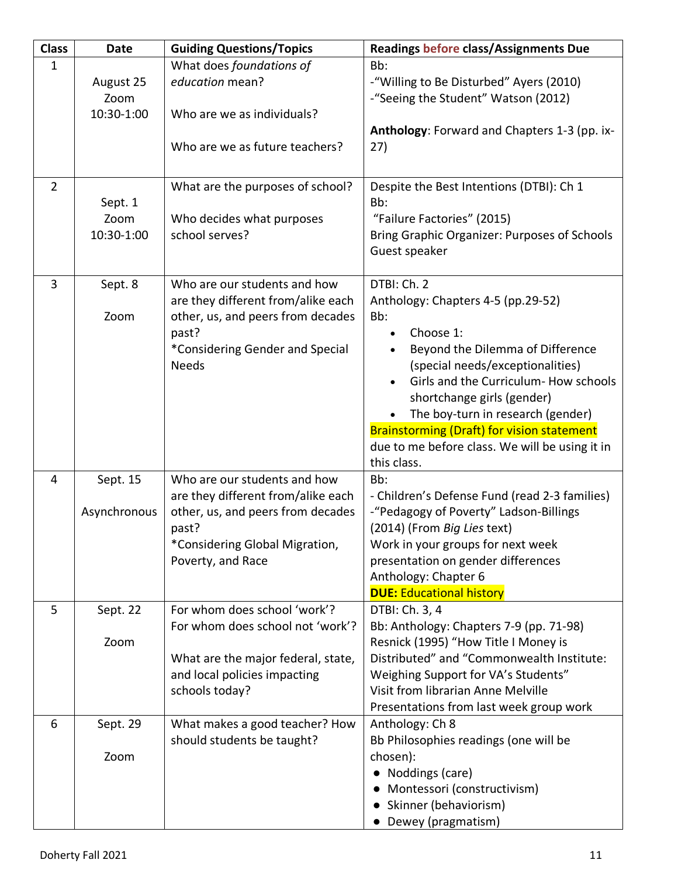| <b>Class</b>   | <b>Date</b>  | <b>Guiding Questions/Topics</b>         | Readings before class/Assignments Due                            |  |
|----------------|--------------|-----------------------------------------|------------------------------------------------------------------|--|
| $\mathbf{1}$   |              | What does foundations of                | Bb:                                                              |  |
|                | August 25    | education mean?                         | -"Willing to Be Disturbed" Ayers (2010)                          |  |
|                | Zoom         |                                         | -"Seeing the Student" Watson (2012)                              |  |
|                | 10:30-1:00   | Who are we as individuals?              |                                                                  |  |
|                |              |                                         | Anthology: Forward and Chapters 1-3 (pp. ix-                     |  |
|                |              | Who are we as future teachers?          | (27)                                                             |  |
|                |              |                                         |                                                                  |  |
| $\overline{2}$ |              | What are the purposes of school?        | Despite the Best Intentions (DTBI): Ch 1                         |  |
|                | Sept. 1      |                                         | Bb:                                                              |  |
|                | Zoom         | Who decides what purposes               | "Failure Factories" (2015)                                       |  |
|                | 10:30-1:00   | school serves?                          | Bring Graphic Organizer: Purposes of Schools                     |  |
|                |              |                                         | Guest speaker                                                    |  |
|                |              |                                         |                                                                  |  |
| $\overline{3}$ | Sept. 8      | Who are our students and how            | DTBI: Ch. 2                                                      |  |
|                |              | are they different from/alike each      | Anthology: Chapters 4-5 (pp.29-52)                               |  |
|                | Zoom         | other, us, and peers from decades       | Bb:                                                              |  |
|                |              | past?                                   | Choose 1:<br>$\bullet$                                           |  |
|                |              | *Considering Gender and Special         | Beyond the Dilemma of Difference                                 |  |
|                |              | <b>Needs</b>                            | (special needs/exceptionalities)                                 |  |
|                |              |                                         | Girls and the Curriculum- How schools                            |  |
|                |              |                                         | shortchange girls (gender)                                       |  |
|                |              |                                         | The boy-turn in research (gender)                                |  |
|                |              |                                         | <b>Brainstorming (Draft) for vision statement</b>                |  |
|                |              |                                         | due to me before class. We will be using it in                   |  |
|                |              |                                         | this class.                                                      |  |
| 4              | Sept. 15     | Who are our students and how            | Bb:                                                              |  |
|                |              | are they different from/alike each      | - Children's Defense Fund (read 2-3 families)                    |  |
|                | Asynchronous | other, us, and peers from decades       | -"Pedagogy of Poverty" Ladson-Billings                           |  |
|                |              | past?<br>*Considering Global Migration, | (2014) (From Big Lies text)<br>Work in your groups for next week |  |
|                |              | Poverty, and Race                       | presentation on gender differences                               |  |
|                |              |                                         | Anthology: Chapter 6                                             |  |
|                |              |                                         | <b>DUE: Educational history</b>                                  |  |
| 5              | Sept. 22     | For whom does school 'work'?            | DTBI: Ch. 3, 4                                                   |  |
|                |              | For whom does school not 'work'?        | Bb: Anthology: Chapters 7-9 (pp. 71-98)                          |  |
|                | Zoom         |                                         | Resnick (1995) "How Title I Money is                             |  |
|                |              | What are the major federal, state,      | Distributed" and "Commonwealth Institute:                        |  |
|                |              | and local policies impacting            | Weighing Support for VA's Students"                              |  |
|                |              | schools today?                          | Visit from librarian Anne Melville                               |  |
|                |              |                                         | Presentations from last week group work                          |  |
| 6              | Sept. 29     | What makes a good teacher? How          | Anthology: Ch 8                                                  |  |
|                |              | should students be taught?              | Bb Philosophies readings (one will be                            |  |
|                | Zoom         |                                         | chosen):                                                         |  |
|                |              |                                         | Noddings (care)                                                  |  |
|                |              |                                         | Montessori (constructivism)                                      |  |
|                |              |                                         | Skinner (behaviorism)                                            |  |
|                |              |                                         | Dewey (pragmatism)                                               |  |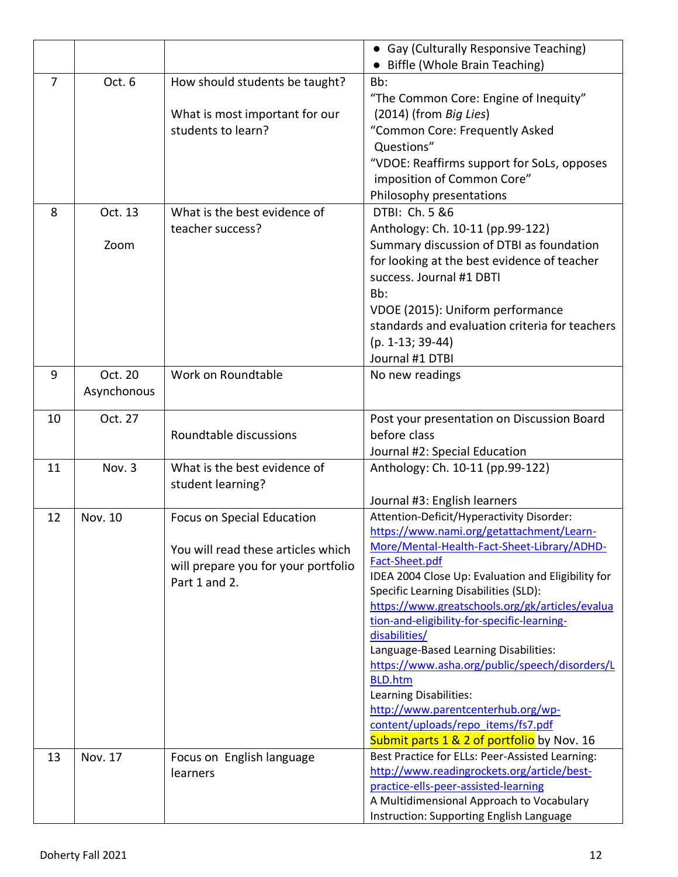|                |             |                                     | • Gay (Culturally Responsive Teaching)                                                 |  |
|----------------|-------------|-------------------------------------|----------------------------------------------------------------------------------------|--|
|                |             |                                     | Biffle (Whole Brain Teaching)                                                          |  |
| $\overline{7}$ | Oct. 6      | How should students be taught?      | Bb:                                                                                    |  |
|                |             |                                     | "The Common Core: Engine of Inequity"                                                  |  |
|                |             | What is most important for our      | (2014) (from Big Lies)                                                                 |  |
|                |             | students to learn?                  | "Common Core: Frequently Asked                                                         |  |
|                |             |                                     | Questions"                                                                             |  |
|                |             |                                     | "VDOE: Reaffirms support for SoLs, opposes                                             |  |
|                |             |                                     | imposition of Common Core"                                                             |  |
|                |             |                                     | Philosophy presentations                                                               |  |
| 8              | Oct. 13     | What is the best evidence of        | DTBI: Ch. 5 &6                                                                         |  |
|                |             | teacher success?                    | Anthology: Ch. 10-11 (pp.99-122)                                                       |  |
|                | Zoom        |                                     | Summary discussion of DTBI as foundation                                               |  |
|                |             |                                     | for looking at the best evidence of teacher                                            |  |
|                |             |                                     | success. Journal #1 DBTI                                                               |  |
|                |             |                                     | Bb:                                                                                    |  |
|                |             |                                     | VDOE (2015): Uniform performance                                                       |  |
|                |             |                                     | standards and evaluation criteria for teachers                                         |  |
|                |             |                                     | $(p. 1-13; 39-44)$                                                                     |  |
|                |             |                                     | Journal #1 DTBI                                                                        |  |
| 9              | Oct. 20     | Work on Roundtable                  | No new readings                                                                        |  |
|                | Asynchonous |                                     |                                                                                        |  |
|                |             |                                     |                                                                                        |  |
| 10             | Oct. 27     |                                     | Post your presentation on Discussion Board                                             |  |
|                |             | Roundtable discussions              | before class                                                                           |  |
|                |             |                                     | Journal #2: Special Education                                                          |  |
| 11             | Nov. 3      | What is the best evidence of        | Anthology: Ch. 10-11 (pp.99-122)                                                       |  |
|                |             | student learning?                   |                                                                                        |  |
|                |             |                                     | Journal #3: English learners                                                           |  |
| 12             | Nov. 10     | Focus on Special Education          | Attention-Deficit/Hyperactivity Disorder:<br>https://www.nami.org/getattachment/Learn- |  |
|                |             |                                     | More/Mental-Health-Fact-Sheet-Library/ADHD-                                            |  |
|                |             | You will read these articles which  | Fact-Sheet.pdf                                                                         |  |
|                |             | will prepare you for your portfolio | IDEA 2004 Close Up: Evaluation and Eligibility for                                     |  |
|                |             | Part 1 and 2.                       | Specific Learning Disabilities (SLD):                                                  |  |
|                |             |                                     | https://www.greatschools.org/gk/articles/evalua                                        |  |
|                |             |                                     | tion-and-eligibility-for-specific-learning-                                            |  |
|                |             |                                     | disabilities/                                                                          |  |
|                |             |                                     | Language-Based Learning Disabilities:                                                  |  |
|                |             |                                     | https://www.asha.org/public/speech/disorders/L                                         |  |
|                |             |                                     | <b>BLD.htm</b>                                                                         |  |
|                |             |                                     | Learning Disabilities:                                                                 |  |
|                |             |                                     | http://www.parentcenterhub.org/wp-                                                     |  |
|                |             |                                     | content/uploads/repo items/fs7.pdf<br>Submit parts 1 & 2 of portfolio by Nov. 16       |  |
| 13             | Nov. 17     | Focus on English language           | Best Practice for ELLs: Peer-Assisted Learning:                                        |  |
|                |             | learners                            | http://www.readingrockets.org/article/best-                                            |  |
|                |             |                                     | practice-ells-peer-assisted-learning                                                   |  |
|                |             |                                     | A Multidimensional Approach to Vocabulary                                              |  |
|                |             |                                     | Instruction: Supporting English Language                                               |  |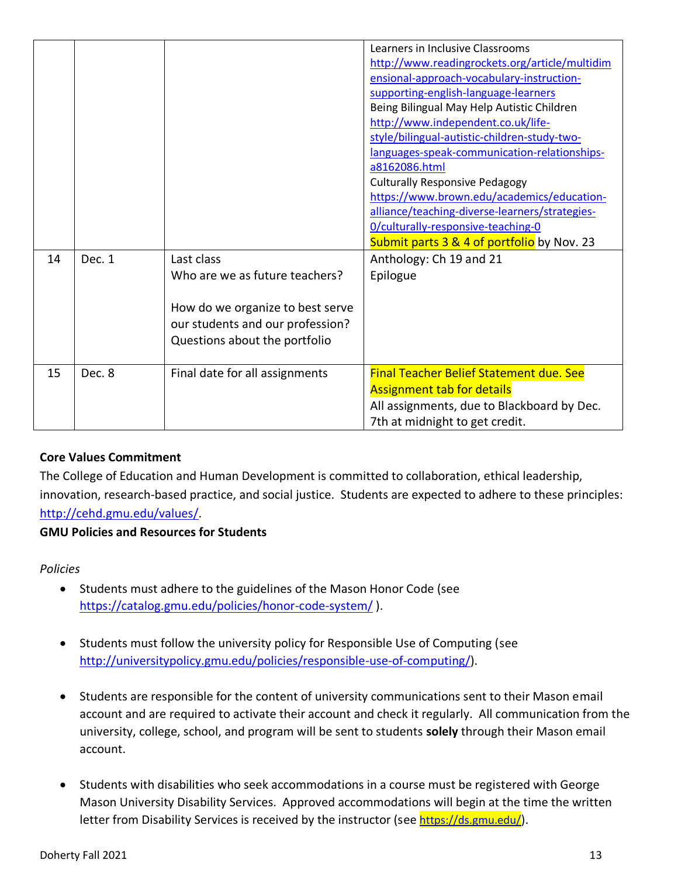|    |        |                                  | Learners in Inclusive Classrooms                                             |  |
|----|--------|----------------------------------|------------------------------------------------------------------------------|--|
|    |        |                                  | http://www.readingrockets.org/article/multidim                               |  |
|    |        |                                  | ensional-approach-vocabulary-instruction-                                    |  |
|    |        |                                  | supporting-english-language-learners                                         |  |
|    |        |                                  | Being Bilingual May Help Autistic Children                                   |  |
|    |        |                                  | http://www.independent.co.uk/life-                                           |  |
|    |        |                                  | style/bilingual-autistic-children-study-two-                                 |  |
|    |        |                                  | languages-speak-communication-relationships-                                 |  |
|    |        |                                  | a8162086.html                                                                |  |
|    |        |                                  | <b>Culturally Responsive Pedagogy</b>                                        |  |
|    |        |                                  | https://www.brown.edu/academics/education-                                   |  |
|    |        |                                  | alliance/teaching-diverse-learners/strategies-                               |  |
|    |        |                                  | 0/culturally-responsive-teaching-0                                           |  |
|    |        |                                  |                                                                              |  |
|    |        |                                  | Submit parts 3 & 4 of portfolio by Nov. 23                                   |  |
| 14 | Dec. 1 | Last class                       | Anthology: Ch 19 and 21                                                      |  |
|    |        | Who are we as future teachers?   | Epilogue                                                                     |  |
|    |        |                                  |                                                                              |  |
|    |        |                                  |                                                                              |  |
|    |        | How do we organize to best serve |                                                                              |  |
|    |        | our students and our profession? |                                                                              |  |
|    |        | Questions about the portfolio    |                                                                              |  |
|    |        |                                  |                                                                              |  |
| 15 | Dec. 8 | Final date for all assignments   | <b>Final Teacher Belief Statement due. See</b>                               |  |
|    |        |                                  | <b>Assignment tab for details</b>                                            |  |
|    |        |                                  | All assignments, due to Blackboard by Dec.<br>7th at midnight to get credit. |  |

# **Core Values Commitment**

The College of Education and Human Development is committed to collaboration, ethical leadership, innovation, research-based practice, and social justice. Students are expected to adhere to these principles: [http://cehd.gmu.edu/values/.](http://cehd.gmu.edu/values/)

#### **GMU Policies and Resources for Students**

#### *Policies*

- Students must adhere to the guidelines of the Mason Honor Code (see <https://catalog.gmu.edu/policies/honor-code-system/> ).
- Students must follow the university policy for Responsible Use of Computing (see [http://universitypolicy.gmu.edu/policies/responsible-use-of-computing/\)](http://universitypolicy.gmu.edu/policies/responsible-use-of-computing/).
- Students are responsible for the content of university communications sent to their Mason email account and are required to activate their account and check it regularly. All communication from the university, college, school, and program will be sent to students **solely** through their Mason email account.
- Students with disabilities who seek accommodations in a course must be registered with George Mason University Disability Services. Approved accommodations will begin at the time the written letter from Disability Services is received by the instructor (see <https://ds.gmu.edu/>).